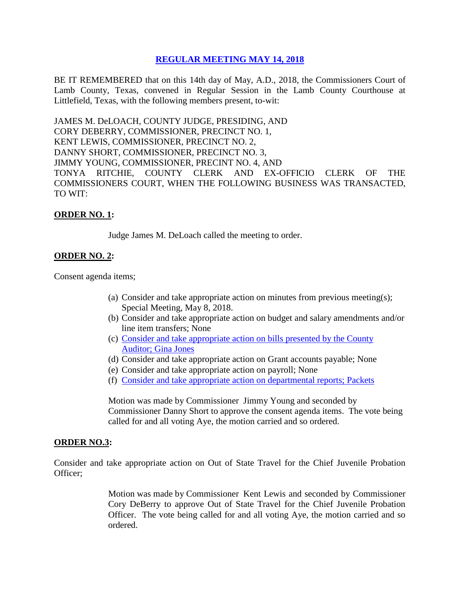# **REGULAR [MEETING MAY 14, 2018](Links%202018-05-14-Regular/01%20AGENDA%20REGULAR%20MEETING%20MAY%2014,%202018.pdf)**

BE IT REMEMBERED that on this 14th day of May, A.D., 2018, the Commissioners Court of Lamb County, Texas, convened in Regular Session in the Lamb County Courthouse at Littlefield, Texas, with the following members present, to-wit:

JAMES M. DeLOACH, COUNTY JUDGE, PRESIDING, AND CORY DEBERRY, COMMISSIONER, PRECINCT NO. 1, KENT LEWIS, COMMISSIONER, PRECINCT NO. 2, DANNY SHORT, COMMISSIONER, PRECINCT NO. 3, JIMMY YOUNG, COMMISSIONER, PRECINT NO. 4, AND TONYA RITCHIE, COUNTY CLERK AND EX-OFFICIO CLERK OF THE COMMISSIONERS COURT, WHEN THE FOLLOWING BUSINESS WAS TRANSACTED, TO WIT:

#### **ORDER NO. 1:**

Judge James M. DeLoach called the meeting to order.

## **ORDER NO. 2:**

Consent agenda items;

- (a) Consider and take appropriate action on minutes from previous meeting(s); Special Meeting, May 8, 2018.
- (b) Consider and take appropriate action on budget and salary amendments and/or line item transfers; None
- (c) [Consider and take appropriate action on bills presented by the County](Links%202018-05-14-Regular/03%20ACCOUNTS%20PAYABLE%20REGULAR%20MEETING%20MAY%2014,%202018.pdf)  Auditor; [Gina Jones](Links%202018-05-14-Regular/03%20ACCOUNTS%20PAYABLE%20REGULAR%20MEETING%20MAY%2014,%202018.pdf)
- (d) Consider and take appropriate action on Grant accounts payable; None
- (e) Consider and take appropriate action on payroll; None
- (f) [Consider and take appropriate action on departmental reports;](Links%202018-05-14-Regular/04%20DEPARTMENTAL%20REPORTS%20REGULAR%20MEETING%20MAY%2014,%202018.pdf) Packets

Motion was made by Commissioner Jimmy Young and seconded by Commissioner Danny Short to approve the consent agenda items. The vote being called for and all voting Aye, the motion carried and so ordered.

#### **ORDER NO.3:**

Consider and take appropriate action on Out of State Travel for the Chief Juvenile Probation Officer;

> Motion was made by Commissioner Kent Lewis and seconded by Commissioner Cory DeBerry to approve Out of State Travel for the Chief Juvenile Probation Officer. The vote being called for and all voting Aye, the motion carried and so ordered.